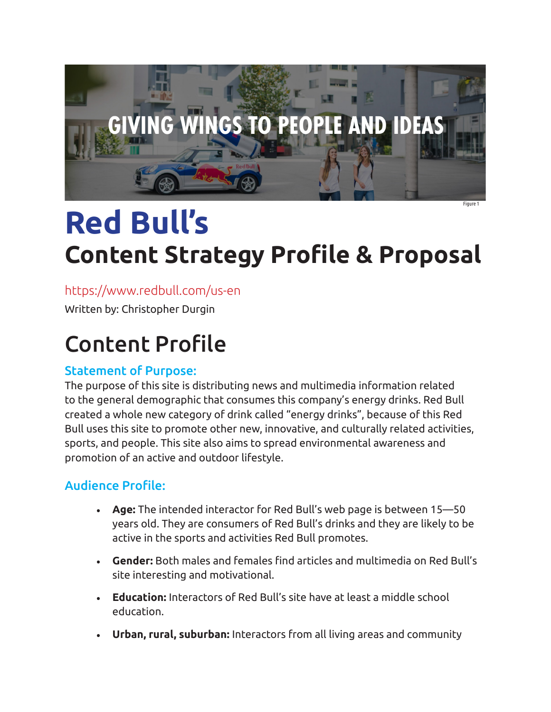

## **Red Bull's Content Strategy Profile & Proposal** Figure 1

## <https://www.redbull.com/us-en>

Written by: Christopher Durgin

# Content Profile

## Statement of Purpose:

The purpose of this site is distributing news and multimedia information related to the general demographic that consumes this company's energy drinks. Red Bull created a whole new category of drink called "energy drinks", because of this Red Bull uses this site to promote other new, innovative, and culturally related activities, sports, and people. This site also aims to spread environmental awareness and promotion of an active and outdoor lifestyle.

## Audience Profile:

- **• Age:** The intended interactor for Red Bull's web page is between 15—50 years old. They are consumers of Red Bull's drinks and they are likely to be active in the sports and activities Red Bull promotes.
- **• Gender:** Both males and females find articles and multimedia on Red Bull's site interesting and motivational.
- **• Education:** Interactors of Red Bull's site have at least a middle school education.
- **• Urban, rural, suburban:** Interactors from all living areas and community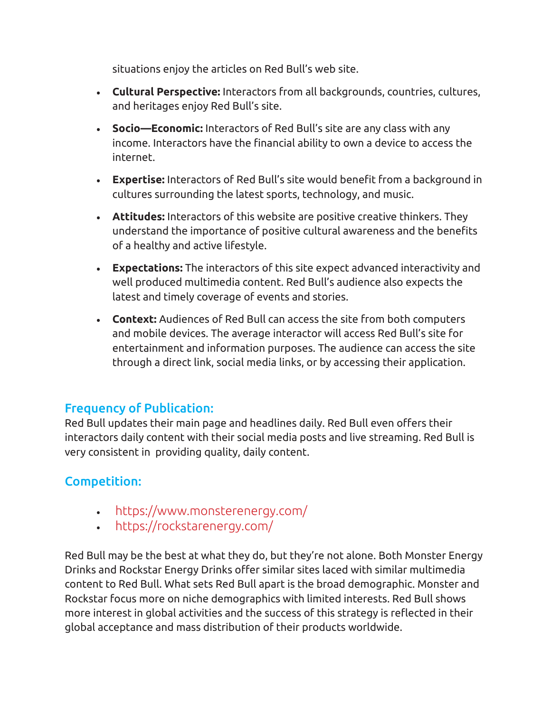situations enjoy the articles on Red Bull's web site.

- **• Cultural Perspective:** Interactors from all backgrounds, countries, cultures, and heritages enjoy Red Bull's site.
- **• Socio—Economic:** Interactors of Red Bull's site are any class with any income. Interactors have the financial ability to own a device to access the internet.
- **• Expertise:** Interactors of Red Bull's site would benefit from a background in cultures surrounding the latest sports, technology, and music.
- **• Attitudes:** Interactors of this website are positive creative thinkers. They understand the importance of positive cultural awareness and the benefits of a healthy and active lifestyle.
- **• Expectations:** The interactors of this site expect advanced interactivity and well produced multimedia content. Red Bull's audience also expects the latest and timely coverage of events and stories.
- **• Context:** Audiences of Red Bull can access the site from both computers and mobile devices. The average interactor will access Red Bull's site for entertainment and information purposes. The audience can access the site through a direct link, social media links, or by accessing their application.

## Frequency of Publication:

Red Bull updates their main page and headlines daily. Red Bull even offers their interactors daily content with their social media posts and live streaming. Red Bull is very consistent in providing quality, daily content.

## Competition:

- <https://www.monsterenergy.com/>
- <https://rockstarenergy.com/>

Red Bull may be the best at what they do, but they're not alone. Both Monster Energy Drinks and Rockstar Energy Drinks offer similar sites laced with similar multimedia content to Red Bull. What sets Red Bull apart is the broad demographic. Monster and Rockstar focus more on niche demographics with limited interests. Red Bull shows more interest in global activities and the success of this strategy is reflected in their global acceptance and mass distribution of their products worldwide.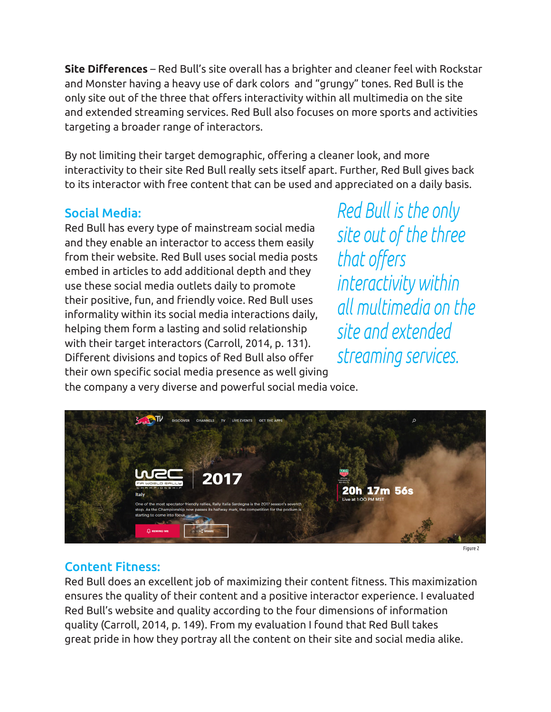**Site Differences** – Red Bull's site overall has a brighter and cleaner feel with Rockstar and Monster having a heavy use of dark colors and "grungy" tones. Red Bull is the only site out of the three that offers interactivity within all multimedia on the site and extended streaming services. Red Bull also focuses on more sports and activities targeting a broader range of interactors.

By not limiting their target demographic, offering a cleaner look, and more interactivity to their site Red Bull really sets itself apart. Further, Red Bull gives back to its interactor with free content that can be used and appreciated on a daily basis.

## Social Media:

Red Bull has every type of mainstream social media and they enable an interactor to access them easily from their website. Red Bull uses social media posts embed in articles to add additional depth and they use these social media outlets daily to promote their positive, fun, and friendly voice. Red Bull uses informality within its social media interactions daily, helping them form a lasting and solid relationship with their target interactors (Carroll, 2014, p. 131). Different divisions and topics of Red Bull also offer their own specific social media presence as well giving Red Bull is the only site out of the three that offers interactivity within all multimedia on the site and extended streaming services.





Figure 2

#### Content Fitness:

Red Bull does an excellent job of maximizing their content fitness. This maximization ensures the quality of their content and a positive interactor experience. I evaluated Red Bull's website and quality according to the four dimensions of information quality (Carroll, 2014, p. 149). From my evaluation I found that Red Bull takes great pride in how they portray all the content on their site and social media alike.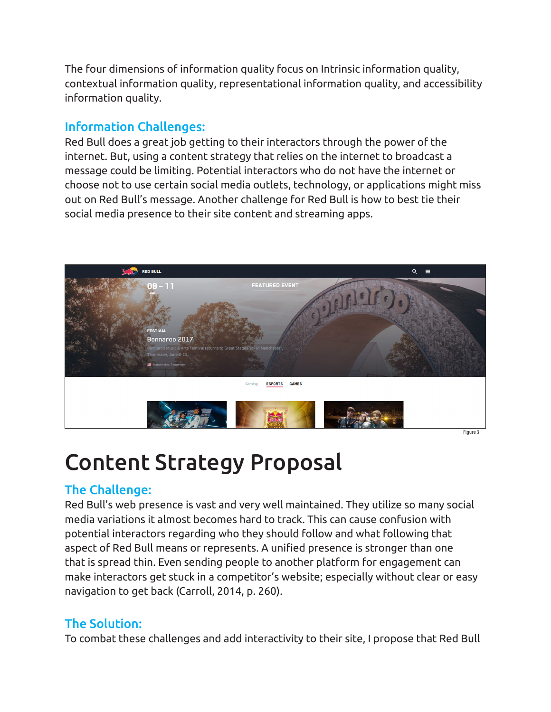The four dimensions of information quality focus on Intrinsic information quality, contextual information quality, representational information quality, and accessibility information quality.

### Information Challenges:

Red Bull does a great job getting to their interactors through the power of the internet. But, using a content strategy that relies on the internet to broadcast a message could be limiting. Potential interactors who do not have the internet or choose not to use certain social media outlets, technology, or applications might miss out on Red Bull's message. Another challenge for Red Bull is how to best tie their social media presence to their site content and streaming apps.



## Content Strategy Proposal

### The Challenge:

Red Bull's web presence is vast and very well maintained. They utilize so many social media variations it almost becomes hard to track. This can cause confusion with potential interactors regarding who they should follow and what following that aspect of Red Bull means or represents. A unified presence is stronger than one that is spread thin. Even sending people to another platform for engagement can make interactors get stuck in a competitor's website; especially without clear or easy navigation to get back (Carroll, 2014, p. 260).

## The Solution:

To combat these challenges and add interactivity to their site, I propose that Red Bull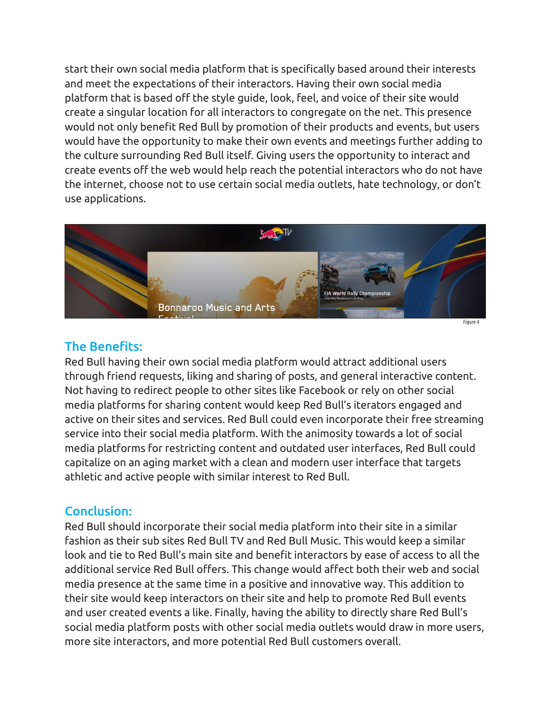start their own social media platform that is specifically based around their interests and meet the expectations of their interactors. Having their own social media platform that is based off the style guide, look, feel, and voice of their site would create a singular location for all interactors to congregate on the net. This presence would not only benefit Red Bull by promotion of their products and events, but users would have the opportunity to make their own events and meetings further adding to the culture surrounding Red Bull itself. Giving users the opportunity to interact and create events off the web would help reach the potential interactors who do not have the internet, choose not to use certain social media outlets, hate technology, or don't use applications.



#### The Benefits:

Red Bull having their own social media platform would attract additional users through friend requests, liking and sharing of posts, and general interactive content. Not having to redirect people to other sites like Facebook or rely on other social media platforms for sharing content would keep Red Bull's iterators engaged and active on their sites and services. Red Bull could even incorporate their free streaming service into their social media platform. With the animosity towards a lot of social media platforms for restricting content and outdated user interfaces, Red Bull could capitalize on an aging market with a clean and modern user interface that targets athletic and active people with similar interest to Red Bull.

#### Conclusion:

Red Bull should incorporate their social media platform into their site in a similar fashion as their sub sites Red Bull TV and Red Bull Music. This would keep a similar look and tie to Red Bull's main site and benefit interactors by ease of access to all the additional service Red Bull offers. This change would affect both their web and social media presence at the same time in a positive and innovative way. This addition to their site would keep interactors on their site and help to promote Red Bull events and user created events a like. Finally, having the ability to directly share Red Bull's social media platform posts with other social media outlets would draw in more users, more site interactors, and more potential Red Bull customers overall.